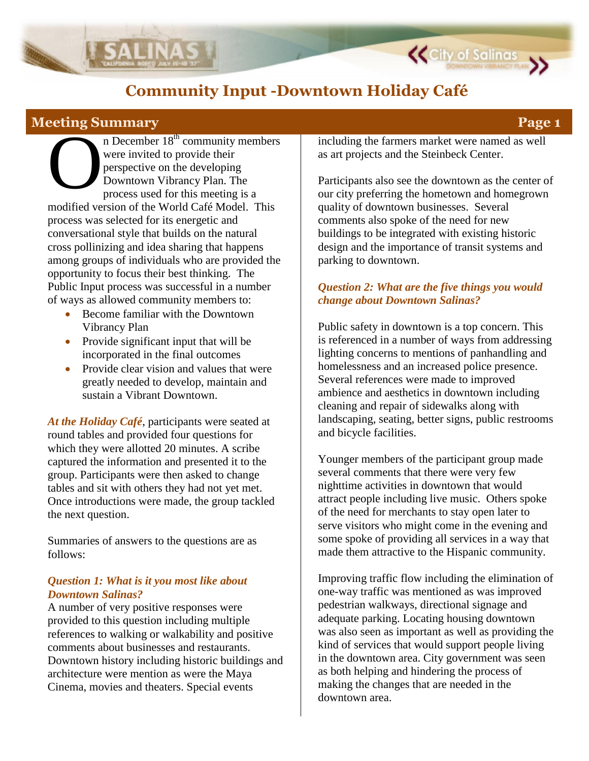

# **Meeting Summary Page 1**

n December 18<sup>th</sup> community members were invited to provide their perspective on the developing Downtown Vibrancy Plan. The process used for this meeting is a modified version of the World Café Model. This process was selected for its energetic and conversational style that builds on the natural cross pollinizing and idea sharing that happens among groups of individuals who are provided the opportunity to focus their best thinking. The Public Input process was successful in a number of ways as allowed community members to: O<br>O

- Become familiar with the Downtown Vibrancy Plan
- Provide significant input that will be incorporated in the final outcomes
- Provide clear vision and values that were greatly needed to develop, maintain and sustain a Vibrant Downtown.

*At the Holiday Café*, participants were seated at round tables and provided four questions for which they were allotted 20 minutes. A scribe captured the information and presented it to the group. Participants were then asked to change tables and sit with others they had not yet met. Once introductions were made, the group tackled the next question.

Summaries of answers to the questions are as follows:

#### *Question 1: What is it you most like about Downtown Salinas?*

A number of very positive responses were provided to this question including multiple references to walking or walkability and positive comments about businesses and restaurants. Downtown history including historic buildings and architecture were mention as were the Maya Cinema, movies and theaters. Special events

including the farmers market were named as well as art projects and the Steinbeck Center.

**K** City of Salinas

Participants also see the downtown as the center of our city preferring the hometown and homegrown quality of downtown businesses. Several comments also spoke of the need for new buildings to be integrated with existing historic design and the importance of transit systems and parking to downtown.

### *Question 2: What are the five things you would change about Downtown Salinas?*

Public safety in downtown is a top concern. This is referenced in a number of ways from addressing lighting concerns to mentions of panhandling and homelessness and an increased police presence. Several references were made to improved ambience and aesthetics in downtown including cleaning and repair of sidewalks along with landscaping, seating, better signs, public restrooms and bicycle facilities.

Younger members of the participant group made several comments that there were very few nighttime activities in downtown that would attract people including live music. Others spoke of the need for merchants to stay open later to serve visitors who might come in the evening and some spoke of providing all services in a way that made them attractive to the Hispanic community.

Improving traffic flow including the elimination of one-way traffic was mentioned as was improved pedestrian walkways, directional signage and adequate parking. Locating housing downtown was also seen as important as well as providing the kind of services that would support people living in the downtown area. City government was seen as both helping and hindering the process of making the changes that are needed in the downtown area.